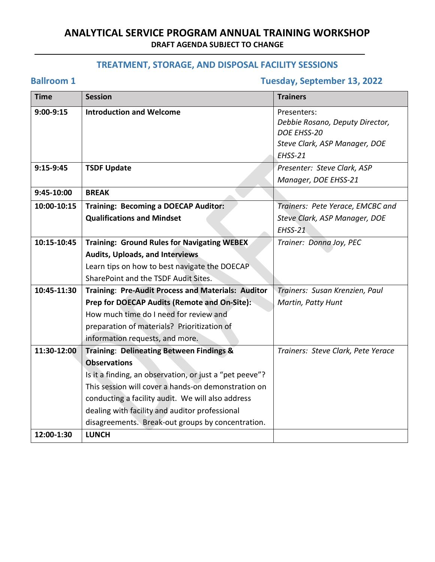## **TREATMENT, STORAGE, AND DISPOSAL FACILITY SESSIONS**

## **Ballroom 1 Tuesday, September 13, 2022**

| <b>Time</b> | <b>Session</b>                                          | <b>Trainers</b>                    |
|-------------|---------------------------------------------------------|------------------------------------|
| $9:00-9:15$ | <b>Introduction and Welcome</b>                         | Presenters:                        |
|             |                                                         | Debbie Rosano, Deputy Director,    |
|             |                                                         | DOE EHSS-20                        |
|             |                                                         | Steve Clark, ASP Manager, DOE      |
|             |                                                         | EHSS-21                            |
| $9:15-9:45$ | <b>TSDF Update</b>                                      | Presenter: Steve Clark, ASP        |
|             |                                                         | Manager, DOE EHSS-21               |
| 9:45-10:00  | <b>BREAK</b>                                            |                                    |
| 10:00-10:15 | <b>Training: Becoming a DOECAP Auditor:</b>             | Trainers: Pete Yerace, EMCBC and   |
|             | <b>Qualifications and Mindset</b>                       | Steve Clark, ASP Manager, DOE      |
|             |                                                         | EHSS-21                            |
| 10:15-10:45 | <b>Training: Ground Rules for Navigating WEBEX</b>      | Trainer: Donna Joy, PEC            |
|             | <b>Audits, Uploads, and Interviews</b>                  |                                    |
|             | Learn tips on how to best navigate the DOECAP           |                                    |
|             | SharePoint and the TSDF Audit Sites.                    |                                    |
| 10:45-11:30 | Training: Pre-Audit Process and Materials: Auditor      | Trainers: Susan Krenzien, Paul     |
|             | Prep for DOECAP Audits (Remote and On-Site):            | Martin, Patty Hunt                 |
|             | How much time do I need for review and                  |                                    |
|             | preparation of materials? Prioritization of             |                                    |
|             | information requests, and more.                         |                                    |
| 11:30-12:00 | <b>Training: Delineating Between Findings &amp;</b>     | Trainers: Steve Clark, Pete Yerace |
|             | <b>Observations</b>                                     |                                    |
|             | Is it a finding, an observation, or just a "pet peeve"? |                                    |
|             | This session will cover a hands-on demonstration on     |                                    |
|             | conducting a facility audit. We will also address       |                                    |
|             | dealing with facility and auditor professional          |                                    |
|             | disagreements. Break-out groups by concentration.       |                                    |
| 12:00-1:30  | <b>LUNCH</b>                                            |                                    |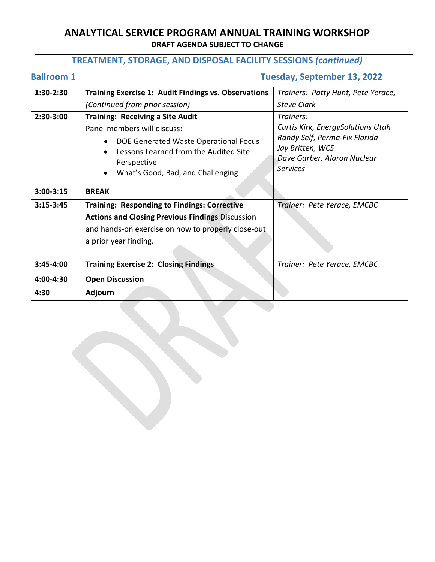## **TREATMENT, STORAGE, AND DISPOSAL FACILITY SESSIONS** *(continued)*

## **Ballroom 1 Tuesday, September 13, 2022**

| 1:30-2:30     | <b>Training Exercise 1: Audit Findings vs. Observations</b>                                                                                                                                                  | Trainers: Patty Hunt, Pete Yerace,                                                                                                                    |
|---------------|--------------------------------------------------------------------------------------------------------------------------------------------------------------------------------------------------------------|-------------------------------------------------------------------------------------------------------------------------------------------------------|
|               | (Continued from prior session)                                                                                                                                                                               | Steve Clark                                                                                                                                           |
| $2:30-3:00$   | <b>Training: Receiving a Site Audit</b><br>Panel members will discuss:<br>DOE Generated Waste Operational Focus<br>Lessons Learned from the Audited Site<br>Perspective<br>What's Good, Bad, and Challenging | Trainers:<br>Curtis Kirk, EnergySolutions Utah<br>Randy Self, Perma-Fix Florida<br>Jay Britten, WCS<br>Dave Garber, Alaron Nuclear<br><b>Services</b> |
| $3:00-3:15$   | <b>BREAK</b>                                                                                                                                                                                                 |                                                                                                                                                       |
| $3:15 - 3:45$ | <b>Training: Responding to Findings: Corrective</b>                                                                                                                                                          | Trainer: Pete Yerace, EMCBC                                                                                                                           |
|               | <b>Actions and Closing Previous Findings Discussion</b>                                                                                                                                                      |                                                                                                                                                       |
|               | and hands-on exercise on how to properly close-out                                                                                                                                                           |                                                                                                                                                       |
|               | a prior year finding.                                                                                                                                                                                        |                                                                                                                                                       |
| $3:45 - 4:00$ | <b>Training Exercise 2: Closing Findings</b>                                                                                                                                                                 | Trainer: Pete Yerace, EMCBC                                                                                                                           |
| 4:00-4:30     | <b>Open Discussion</b>                                                                                                                                                                                       |                                                                                                                                                       |
| 4:30          | <b>Adjourn</b>                                                                                                                                                                                               |                                                                                                                                                       |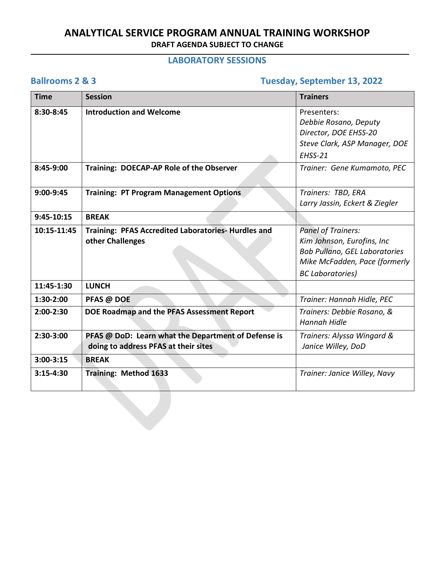### **LABORATORY SESSIONS**

## **Ballrooms 2 & 3 Tuesday, September 13, 2022**

| <b>Time</b>  | <b>Session</b>                                                                              | <b>Trainers</b>                                                                                                                                             |
|--------------|---------------------------------------------------------------------------------------------|-------------------------------------------------------------------------------------------------------------------------------------------------------------|
| 8:30-8:45    | <b>Introduction and Welcome</b>                                                             | Presenters:<br>Debbie Rosano, Deputy<br>Director, DOE EHSS-20<br>Steve Clark, ASP Manager, DOE<br>EHSS-21                                                   |
| 8:45-9:00    | Training: DOECAP-AP Role of the Observer                                                    | Trainer: Gene Kumamoto, PEC                                                                                                                                 |
| 9:00-9:45    | <b>Training: PT Program Management Options</b>                                              | Trainers: TBD, ERA<br>Larry Jassin, Eckert & Ziegler                                                                                                        |
| $9:45-10:15$ | <b>BREAK</b>                                                                                |                                                                                                                                                             |
| 10:15-11:45  | Training: PFAS Accredited Laboratories-Hurdles and<br>other Challenges                      | <b>Panel of Trainers:</b><br>Kim Johnson, Eurofins, Inc<br><b>Bob Pullano, GEL Laboratories</b><br>Mike McFadden, Pace (formerly<br><b>BC Laboratories)</b> |
| 11:45-1:30   | <b>LUNCH</b>                                                                                |                                                                                                                                                             |
| 1:30-2:00    | PFAS @ DOE                                                                                  | Trainer: Hannah Hidle, PEC                                                                                                                                  |
| $2:00-2:30$  | DOE Roadmap and the PFAS Assessment Report                                                  | Trainers: Debbie Rosano, &<br><b>Hannah Hidle</b>                                                                                                           |
| 2:30-3:00    | PFAS @ DoD: Learn what the Department of Defense is<br>doing to address PFAS at their sites | Trainers: Alyssa Wingard &<br>Janice Willey, DoD                                                                                                            |
| $3:00-3:15$  | <b>BREAK</b>                                                                                |                                                                                                                                                             |
| $3:15-4:30$  | Training: Method 1633                                                                       | Trainer: Janice Willey, Navy                                                                                                                                |
|              |                                                                                             |                                                                                                                                                             |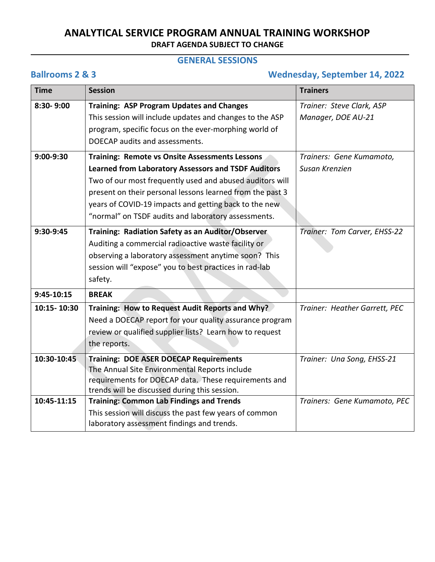### **GENERAL SESSIONS**

### **Ballrooms 2 & 3 Wednesday, September 14, 2022**

| <b>Time</b>  | <b>Session</b>                                                                                            | <b>Trainers</b>               |
|--------------|-----------------------------------------------------------------------------------------------------------|-------------------------------|
| 8:30-9:00    | <b>Training: ASP Program Updates and Changes</b>                                                          | Trainer: Steve Clark, ASP     |
|              | This session will include updates and changes to the ASP                                                  | Manager, DOE AU-21            |
|              | program, specific focus on the ever-morphing world of                                                     |                               |
|              | DOECAP audits and assessments.                                                                            |                               |
| $9:00-9:30$  | Training: Remote vs Onsite Assessments Lessons                                                            | Trainers: Gene Kumamoto,      |
|              | <b>Learned from Laboratory Assessors and TSDF Auditors</b>                                                | Susan Krenzien                |
|              | Two of our most frequently used and abused auditors will                                                  |                               |
|              | present on their personal lessons learned from the past 3                                                 |                               |
|              | years of COVID-19 impacts and getting back to the new                                                     |                               |
|              | "normal" on TSDF audits and laboratory assessments.                                                       |                               |
| 9:30-9:45    | Training: Radiation Safety as an Auditor/Observer                                                         | Trainer: Tom Carver, EHSS-22  |
|              | Auditing a commercial radioactive waste facility or                                                       |                               |
|              | observing a laboratory assessment anytime soon? This                                                      |                               |
|              | session will "expose" you to best practices in rad-lab                                                    |                               |
|              | safety.                                                                                                   |                               |
| $9:45-10:15$ | <b>BREAK</b>                                                                                              |                               |
| 10:15-10:30  | Training: How to Request Audit Reports and Why?                                                           | Trainer: Heather Garrett, PEC |
|              | Need a DOECAP report for your quality assurance program                                                   |                               |
|              | review or qualified supplier lists? Learn how to request                                                  |                               |
|              | the reports.                                                                                              |                               |
| 10:30-10:45  | <b>Training: DOE ASER DOECAP Requirements</b>                                                             | Trainer: Una Song, EHSS-21    |
|              | The Annual Site Environmental Reports include                                                             |                               |
|              | requirements for DOECAP data. These requirements and                                                      |                               |
| 10:45-11:15  | trends will be discussed during this session.                                                             |                               |
|              | <b>Training: Common Lab Findings and Trends</b><br>This session will discuss the past few years of common | Trainers: Gene Kumamoto, PEC  |
|              | laboratory assessment findings and trends.                                                                |                               |
|              |                                                                                                           |                               |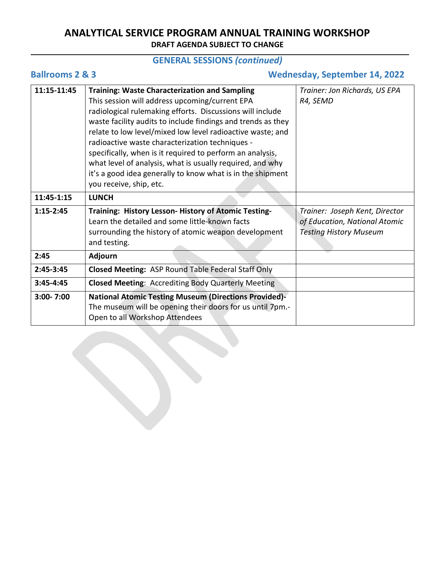## **GENERAL SESSIONS** *(continued)*

|  | <b>Ballrooms 2 &amp; 3</b> |  |  |  |
|--|----------------------------|--|--|--|
|--|----------------------------|--|--|--|

## **Ballrooms 2 & 3 Wednesday, September 14, 2022**

| 11:15-11:45   | <b>Training: Waste Characterization and Sampling</b>         | Trainer: Jon Richards, US EPA  |
|---------------|--------------------------------------------------------------|--------------------------------|
|               | This session will address upcoming/current EPA               | R4, SEMD                       |
|               | radiological rulemaking efforts. Discussions will include    |                                |
|               | waste facility audits to include findings and trends as they |                                |
|               | relate to low level/mixed low level radioactive waste; and   |                                |
|               | radioactive waste characterization techniques -              |                                |
|               | specifically, when is it required to perform an analysis,    |                                |
|               | what level of analysis, what is usually required, and why    |                                |
|               | it's a good idea generally to know what is in the shipment   |                                |
|               | you receive, ship, etc.                                      |                                |
| 11:45-1:15    | <b>LUNCH</b>                                                 |                                |
|               |                                                              |                                |
| $1:15 - 2:45$ | Training: History Lesson- History of Atomic Testing-         | Trainer: Joseph Kent, Director |
|               | Learn the detailed and some little-known facts               | of Education, National Atomic  |
|               | surrounding the history of atomic weapon development         | <b>Testing History Museum</b>  |
|               | and testing.                                                 |                                |
| 2:45          | <b>Adjourn</b>                                               |                                |
| $2:45-3:45$   | <b>Closed Meeting: ASP Round Table Federal Staff Only</b>    |                                |
| $3:45 - 4:45$ | <b>Closed Meeting: Accrediting Body Quarterly Meeting</b>    |                                |
| $3:00 - 7:00$ | <b>National Atomic Testing Museum (Directions Provided)-</b> |                                |
|               | The museum will be opening their doors for us until 7pm.-    |                                |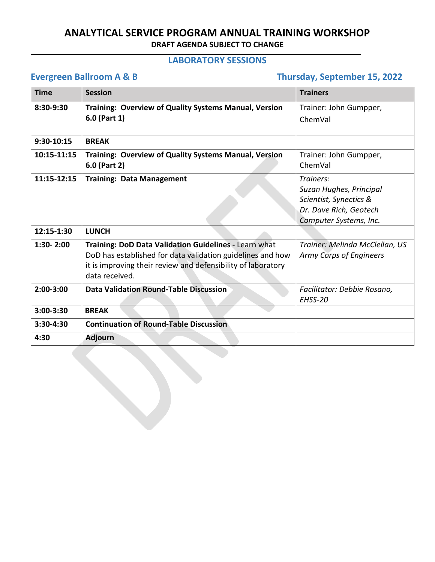### **LABORATORY SESSIONS**

# **Evergreen Ballroom A & B** Thursday, September 15, 2022

| <b>Time</b>   | <b>Session</b>                                                                                                                                                                                        | <b>Trainers</b>                                                                                                    |
|---------------|-------------------------------------------------------------------------------------------------------------------------------------------------------------------------------------------------------|--------------------------------------------------------------------------------------------------------------------|
| 8:30-9:30     | Training: Overview of Quality Systems Manual, Version<br>6.0 (Part 1)                                                                                                                                 | Trainer: John Gumpper,<br>ChemVal                                                                                  |
| 9:30-10:15    | <b>BRFAK</b>                                                                                                                                                                                          |                                                                                                                    |
| 10:15-11:15   | Training: Overview of Quality Systems Manual, Version<br>6.0 (Part 2)                                                                                                                                 | Trainer: John Gumpper,<br>ChemVal                                                                                  |
| 11:15-12:15   | <b>Training: Data Management</b>                                                                                                                                                                      | Trainers:<br>Suzan Hughes, Principal<br>Scientist, Synectics &<br>Dr. Dave Rich, Geotech<br>Computer Systems, Inc. |
| 12:15-1:30    | <b>LUNCH</b>                                                                                                                                                                                          |                                                                                                                    |
| $1:30 - 2:00$ | Training: DoD Data Validation Guidelines - Learn what<br>DoD has established for data validation guidelines and how<br>it is improving their review and defensibility of laboratory<br>data received. | Trainer: Melinda McClellan, US<br>Army Corps of Engineers                                                          |
| $2:00-3:00$   | <b>Data Validation Round-Table Discussion</b>                                                                                                                                                         | Facilitator: Debbie Rosano,<br>EHSS-20                                                                             |
| $3:00-3:30$   | <b>BREAK</b>                                                                                                                                                                                          |                                                                                                                    |
| 3:30-4:30     | <b>Continuation of Round-Table Discussion</b>                                                                                                                                                         |                                                                                                                    |
| 4:30          | <b>Adjourn</b>                                                                                                                                                                                        |                                                                                                                    |